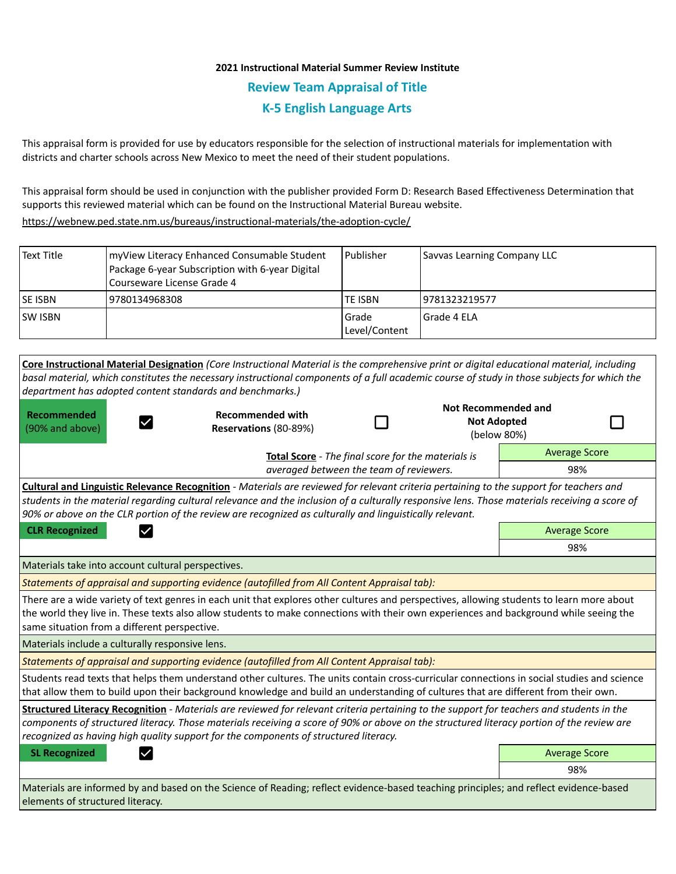## **2021 Instructional Material Summer Review Institute Review Team Appraisal of Title K-5 English Language Arts**

This appraisal form is provided for use by educators responsible for the selection of instructional materials for implementation with districts and charter schools across New Mexico to meet the need of their student populations.

This appraisal form should be used in conjunction with the publisher provided Form D: Research Based Effectiveness Determination that supports this reviewed material which can be found on the Instructional Material Bureau website.

<https://webnew.ped.state.nm.us/bureaus/instructional-materials/the-adoption-cycle/>

| <b>Text Title</b>                                                                                                                     | myView Literacy Enhanced Consumable Student<br>Package 6-year Subscription with 6-year Digital<br>Courseware License Grade 4                                                                                                                                                                                                                                                   | Publisher              | Savvas Learning Company LLC                      |                      |
|---------------------------------------------------------------------------------------------------------------------------------------|--------------------------------------------------------------------------------------------------------------------------------------------------------------------------------------------------------------------------------------------------------------------------------------------------------------------------------------------------------------------------------|------------------------|--------------------------------------------------|----------------------|
| SE ISBN                                                                                                                               | 9780134968308                                                                                                                                                                                                                                                                                                                                                                  | <b>TE ISBN</b>         | 9781323219577                                    |                      |
| <b>SW ISBN</b>                                                                                                                        |                                                                                                                                                                                                                                                                                                                                                                                | Grade<br>Level/Content | Grade 4 ELA                                      |                      |
|                                                                                                                                       | Core Instructional Material Designation (Core Instructional Material is the comprehensive print or digital educational material, including                                                                                                                                                                                                                                     |                        |                                                  |                      |
|                                                                                                                                       | basal material, which constitutes the necessary instructional components of a full academic course of study in those subjects for which the<br>department has adopted content standards and benchmarks.)                                                                                                                                                                       |                        |                                                  |                      |
| Recommended<br>(90% and above)                                                                                                        | <b>Recommended with</b><br>Reservations (80-89%)                                                                                                                                                                                                                                                                                                                               |                        | <b>Not Recommended and</b><br><b>Not Adopted</b> | (below 80%)          |
| Total Score - The final score for the materials is<br>averaged between the team of reviewers.                                         |                                                                                                                                                                                                                                                                                                                                                                                |                        | <b>Average Score</b>                             |                      |
|                                                                                                                                       |                                                                                                                                                                                                                                                                                                                                                                                |                        | 98%                                              |                      |
|                                                                                                                                       | students in the material regarding cultural relevance and the inclusion of a culturally responsive lens. Those materials receiving a score of<br>90% or above on the CLR portion of the review are recognized as culturally and linguistically relevant.                                                                                                                       |                        |                                                  |                      |
| <b>CLR Recognized</b><br>$\checkmark$                                                                                                 |                                                                                                                                                                                                                                                                                                                                                                                |                        |                                                  | <b>Average Score</b> |
|                                                                                                                                       |                                                                                                                                                                                                                                                                                                                                                                                |                        |                                                  | 98%                  |
|                                                                                                                                       | Materials take into account cultural perspectives.                                                                                                                                                                                                                                                                                                                             |                        |                                                  |                      |
|                                                                                                                                       | Statements of appraisal and supporting evidence (autofilled from All Content Appraisal tab):                                                                                                                                                                                                                                                                                   |                        |                                                  |                      |
|                                                                                                                                       | There are a wide variety of text genres in each unit that explores other cultures and perspectives, allowing students to learn more about<br>the world they live in. These texts also allow students to make connections with their own experiences and background while seeing the<br>same situation from a different perspective.                                            |                        |                                                  |                      |
|                                                                                                                                       | Materials include a culturally responsive lens.                                                                                                                                                                                                                                                                                                                                |                        |                                                  |                      |
| Statements of appraisal and supporting evidence (autofilled from All Content Appraisal tab):                                          |                                                                                                                                                                                                                                                                                                                                                                                |                        |                                                  |                      |
|                                                                                                                                       | Students read texts that helps them understand other cultures. The units contain cross-curricular connections in social studies and science<br>that allow them to build upon their background knowledge and build an understanding of cultures that are different from their own.                                                                                              |                        |                                                  |                      |
|                                                                                                                                       | Structured Literacy Recognition - Materials are reviewed for relevant criteria pertaining to the support for teachers and students in the<br>components of structured literacy. Those materials receiving a score of 90% or above on the structured literacy portion of the review are<br>recognized as having high quality support for the components of structured literacy. |                        |                                                  |                      |
| <b>SL Recognized</b>                                                                                                                  |                                                                                                                                                                                                                                                                                                                                                                                |                        |                                                  | <b>Average Score</b> |
|                                                                                                                                       |                                                                                                                                                                                                                                                                                                                                                                                |                        |                                                  | 98%                  |
| Materials are informed by and based on the Science of Reading: reflect evidence-based teaching principles: and reflect evidence-based |                                                                                                                                                                                                                                                                                                                                                                                |                        |                                                  |                      |

Materials are informed by and based on the Science of Reading; reflect evidence-based teaching principles; and reflect evidence-based elements of structured literacy.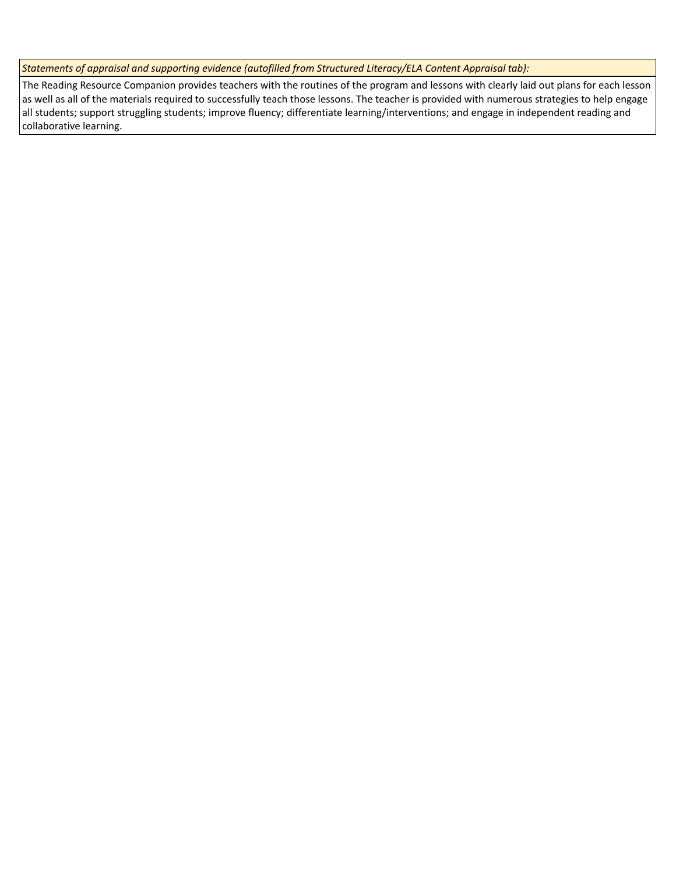*Statements of appraisal and supporting evidence (autofilled from Structured Literacy/ELA Content Appraisal tab):* 

The Reading Resource Companion provides teachers with the routines of the program and lessons with clearly laid out plans for each lesson as well as all of the materials required to successfully teach those lessons. The teacher is provided with numerous strategies to help engage all students; support struggling students; improve fluency; differentiate learning/interventions; and engage in independent reading and collaborative learning.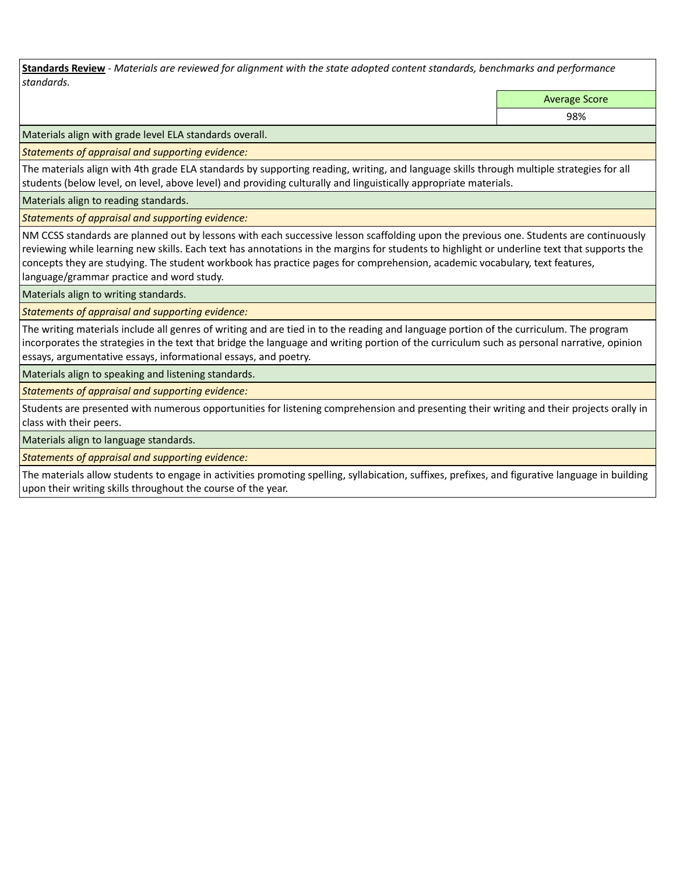**Standards Review** *- Materials are reviewed for alignment with the state adopted content standards, benchmarks and performance standards.*

Average Score

98%

Materials align with grade level ELA standards overall.

*Statements of appraisal and supporting evidence:* 

The materials align with 4th grade ELA standards by supporting reading, writing, and language skills through multiple strategies for all students (below level, on level, above level) and providing culturally and linguistically appropriate materials.

Materials align to reading standards.

*Statements of appraisal and supporting evidence:* 

NM CCSS standards are planned out by lessons with each successive lesson scaffolding upon the previous one. Students are continuously reviewing while learning new skills. Each text has annotations in the margins for students to highlight or underline text that supports the concepts they are studying. The student workbook has practice pages for comprehension, academic vocabulary, text features, language/grammar practice and word study.

Materials align to writing standards.

*Statements of appraisal and supporting evidence:* 

The writing materials include all genres of writing and are tied in to the reading and language portion of the curriculum. The program incorporates the strategies in the text that bridge the language and writing portion of the curriculum such as personal narrative, opinion essays, argumentative essays, informational essays, and poetry.

Materials align to speaking and listening standards.

*Statements of appraisal and supporting evidence:* 

Students are presented with numerous opportunities for listening comprehension and presenting their writing and their projects orally in class with their peers.

Materials align to language standards.

*Statements of appraisal and supporting evidence:* 

The materials allow students to engage in activities promoting spelling, syllabication, suffixes, prefixes, and figurative language in building upon their writing skills throughout the course of the year.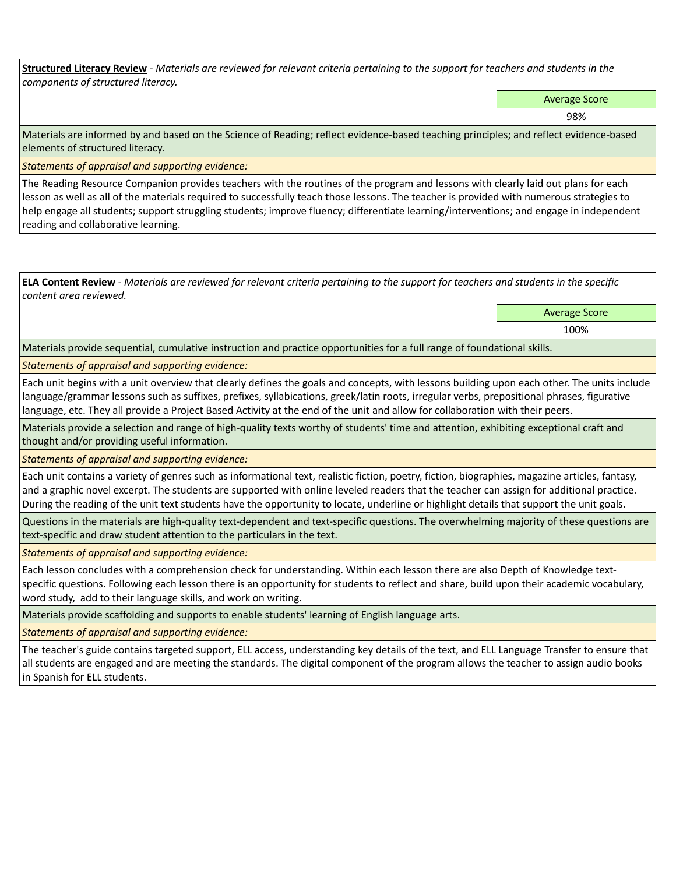**Structured Literacy Review** *- Materials are reviewed for relevant criteria pertaining to the support for teachers and students in the components of structured literacy.*

Average Score

98%

Materials are informed by and based on the Science of Reading; reflect evidence-based teaching principles; and reflect evidence-based elements of structured literacy.

*Statements of appraisal and supporting evidence:*

The Reading Resource Companion provides teachers with the routines of the program and lessons with clearly laid out plans for each lesson as well as all of the materials required to successfully teach those lessons. The teacher is provided with numerous strategies to help engage all students; support struggling students; improve fluency; differentiate learning/interventions; and engage in independent reading and collaborative learning.

**ELA Content Review** *- Materials are reviewed for relevant criteria pertaining to the support for teachers and students in the specific content area reviewed.*

Average Score

100%

Materials provide sequential, cumulative instruction and practice opportunities for a full range of foundational skills.

*Statements of appraisal and supporting evidence:* 

Each unit begins with a unit overview that clearly defines the goals and concepts, with lessons building upon each other. The units include language/grammar lessons such as suffixes, prefixes, syllabications, greek/latin roots, irregular verbs, prepositional phrases, figurative language, etc. They all provide a Project Based Activity at the end of the unit and allow for collaboration with their peers.

Materials provide a selection and range of high-quality texts worthy of students' time and attention, exhibiting exceptional craft and thought and/or providing useful information.

*Statements of appraisal and supporting evidence:* 

Each unit contains a variety of genres such as informational text, realistic fiction, poetry, fiction, biographies, magazine articles, fantasy, and a graphic novel excerpt. The students are supported with online leveled readers that the teacher can assign for additional practice. During the reading of the unit text students have the opportunity to locate, underline or highlight details that support the unit goals.

Questions in the materials are high-quality text-dependent and text-specific questions. The overwhelming majority of these questions are text-specific and draw student attention to the particulars in the text.

*Statements of appraisal and supporting evidence:* 

Each lesson concludes with a comprehension check for understanding. Within each lesson there are also Depth of Knowledge textspecific questions. Following each lesson there is an opportunity for students to reflect and share, build upon their academic vocabulary, word study, add to their language skills, and work on writing.

Materials provide scaffolding and supports to enable students' learning of English language arts.

*Statements of appraisal and supporting evidence:* 

The teacher's guide contains targeted support, ELL access, understanding key details of the text, and ELL Language Transfer to ensure that all students are engaged and are meeting the standards. The digital component of the program allows the teacher to assign audio books in Spanish for ELL students.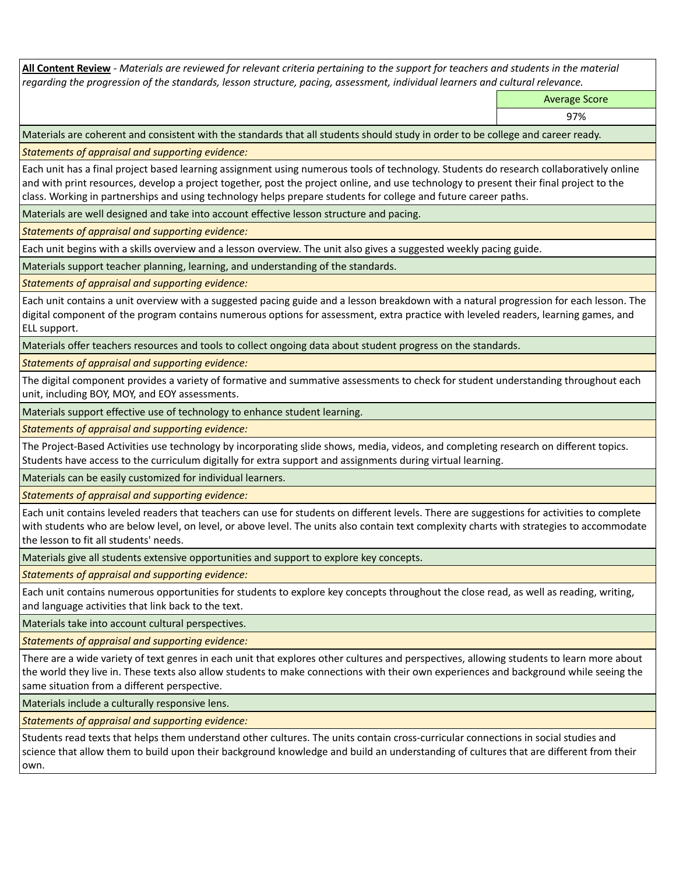**All Content Review** *- Materials are reviewed for relevant criteria pertaining to the support for teachers and students in the material regarding the progression of the standards, lesson structure, pacing, assessment, individual learners and cultural relevance.*

Average Score

97%

Materials are coherent and consistent with the standards that all students should study in order to be college and career ready.

*Statements of appraisal and supporting evidence:*

Each unit has a final project based learning assignment using numerous tools of technology. Students do research collaboratively online and with print resources, develop a project together, post the project online, and use technology to present their final project to the class. Working in partnerships and using technology helps prepare students for college and future career paths.

Materials are well designed and take into account effective lesson structure and pacing.

*Statements of appraisal and supporting evidence:*

Each unit begins with a skills overview and a lesson overview. The unit also gives a suggested weekly pacing guide.

Materials support teacher planning, learning, and understanding of the standards.

*Statements of appraisal and supporting evidence:*

Each unit contains a unit overview with a suggested pacing guide and a lesson breakdown with a natural progression for each lesson. The digital component of the program contains numerous options for assessment, extra practice with leveled readers, learning games, and ELL support.

Materials offer teachers resources and tools to collect ongoing data about student progress on the standards.

*Statements of appraisal and supporting evidence:*

The digital component provides a variety of formative and summative assessments to check for student understanding throughout each unit, including BOY, MOY, and EOY assessments.

Materials support effective use of technology to enhance student learning.

*Statements of appraisal and supporting evidence:*

The Project-Based Activities use technology by incorporating slide shows, media, videos, and completing research on different topics. Students have access to the curriculum digitally for extra support and assignments during virtual learning.

Materials can be easily customized for individual learners.

*Statements of appraisal and supporting evidence:* 

Each unit contains leveled readers that teachers can use for students on different levels. There are suggestions for activities to complete with students who are below level, on level, or above level. The units also contain text complexity charts with strategies to accommodate the lesson to fit all students' needs.

Materials give all students extensive opportunities and support to explore key concepts.

*Statements of appraisal and supporting evidence:*

Each unit contains numerous opportunities for students to explore key concepts throughout the close read, as well as reading, writing, and language activities that link back to the text.

Materials take into account cultural perspectives.

*Statements of appraisal and supporting evidence:*

There are a wide variety of text genres in each unit that explores other cultures and perspectives, allowing students to learn more about the world they live in. These texts also allow students to make connections with their own experiences and background while seeing the same situation from a different perspective.

Materials include a culturally responsive lens.

*Statements of appraisal and supporting evidence:*

Students read texts that helps them understand other cultures. The units contain cross-curricular connections in social studies and science that allow them to build upon their background knowledge and build an understanding of cultures that are different from their own.